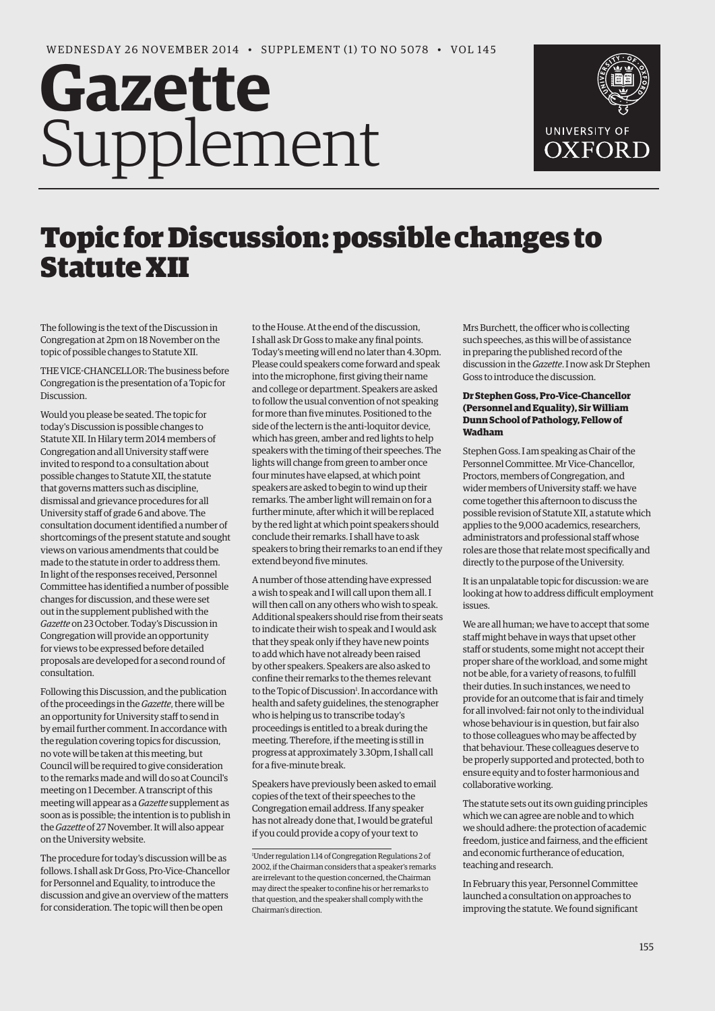# **Gazette** Supplement



# Topic for Discussion: possible changes to Statute XII

The following is the text of the Discussion in Congregation at 2pm on 18 November on the topic of possible changes to Statute XII.

THE VICE-CHANCELLOR: The business before Congregation is the presentation of a Topic for **Discussion** 

Would you please be seated. The topic for today's Discussion is possible changes to Statute XII. In Hilary term 2014 members of Congregation and all University staff were invited to respond to a consultation about possible changes to Statute XII, the statute that governs matters such as discipline, dismissal and grievance procedures for all University staff of grade 6 and above. The consultation document identified a number of shortcomings of the present statute and sought views on various amendments that could be made to the statute in order to address them. In light of the responses received, Personnel Committee has identified a number of possible changes for discussion, and these were set out in the supplement published with the *Gazette* on 23 October. Today's Discussion in Congregation will provide an opportunity for views to be expressed before detailed proposals are developed for a second round of consultation.

Following this Discussion, and the publication of the proceedings in the *Gazette*, there will be an opportunity for University staff to send in by email further comment. In accordance with the regulation covering topics for discussion, no vote will be taken at this meeting, but Council will be required to give consideration to the remarks made and will do so at Council's meeting on 1 December. A transcript of this meeting will appear as a *Gazette* supplement as soon as is possible; the intention is to publish in the *Gazette* of 27 November. It will also appear on the University website.

The procedure for today's discussion will be as follows. I shall ask Dr Goss, Pro-Vice-Chancellor for Personnel and Equality, to introduce the discussion and give an overview of the matters for consideration. The topic will then be open

to the House. At the end of the discussion, I shall ask Dr Goss to make any final points. Today's meeting will end no later than 4.30pm. Please could speakers come forward and speak into the microphone, first giving their name and college or department. Speakers are asked to follow the usual convention of not speaking for more than five minutes. Positioned to the side of the lectern is the anti-loquitor device, which has green, amber and red lights to help speakers with the timing of their speeches. The lights will change from green to amber once four minutes have elapsed, at which point speakers are asked to begin to wind up their remarks. The amber light will remain on for a further minute, after which it will be replaced by the red light at which point speakers should conclude their remarks. I shall have to ask speakers to bring their remarks to an end if they extend beyond five minutes.

A number of those attending have expressed a wish to speak and I will call upon them all. I will then call on any others who wish to speak. Additional speakers should rise from their seats to indicate their wish to speak and I would ask that they speak only if they have new points to add which have not already been raised by other speakers. Speakers are also asked to confine their remarks to the themes relevant to the Topic of Discussion<sup>1</sup>. In accordance with health and safety guidelines, the stenographer who is helping us to transcribe today's proceedings is entitled to a break during the meeting. Therefore, if the meeting is still in progress at approximately 3.30pm, I shall call for a five-minute break.

Speakers have previously been asked to email copies of the text of their speeches to the Congregation email address. If any speaker has not already done that, I would be grateful if you could provide a copy of your text to

Mrs Burchett, the officer who is collecting such speeches, as this will be of assistance in preparing the published record of the discussion in the *Gazette*. I now ask Dr Stephen Goss to introduce the discussion.

### **Dr Stephen Goss, Pro-Vice-Chancellor (Personnel and Equality), Sir William Dunn School of Pathology, Fellow of Wadham**

Stephen Goss. I am speaking as Chair of the Personnel Committee. Mr Vice-Chancellor, Proctors, members of Congregation, and wider members of University staff: we have come together this afternoon to discuss the possible revision of Statute XII, a statute which applies to the 9,000 academics, researchers, administrators and professional staff whose roles are those that relate most specifically and directly to the purpose of the University.

It is an unpalatable topic for discussion: we are looking at how to address difficult employment issues.

We are all human; we have to accept that some staff might behave in ways that upset other staff or students, some might not accept their proper share of the workload, and some might not be able, for a variety of reasons, to fulfill their duties. In such instances, we need to provide for an outcome that is fair and timely for all involved: fair not only to the individual whose behaviour is in question, but fair also to those colleagues who may be affected by that behaviour. These colleagues deserve to be properly supported and protected, both to ensure equity and to foster harmonious and collaborative working.

The statute sets out its own guiding principles which we can agree are noble and to which we should adhere: the protection of academic freedom, justice and fairness, and the efficient and economic furtherance of education, teaching and research.

In February this year, Personnel Committee launched a consultation on approaches to improving the statute. We found significant

<sup>1</sup> Under regulation 1.14 of Congregation Regulations 2 of 2002, if the Chairman considers that a speaker's remarks are irrelevant to the question concerned, the Chairman may direct the speaker to confine his or her remarks to that question, and the speaker shall comply with the Chairman's direction.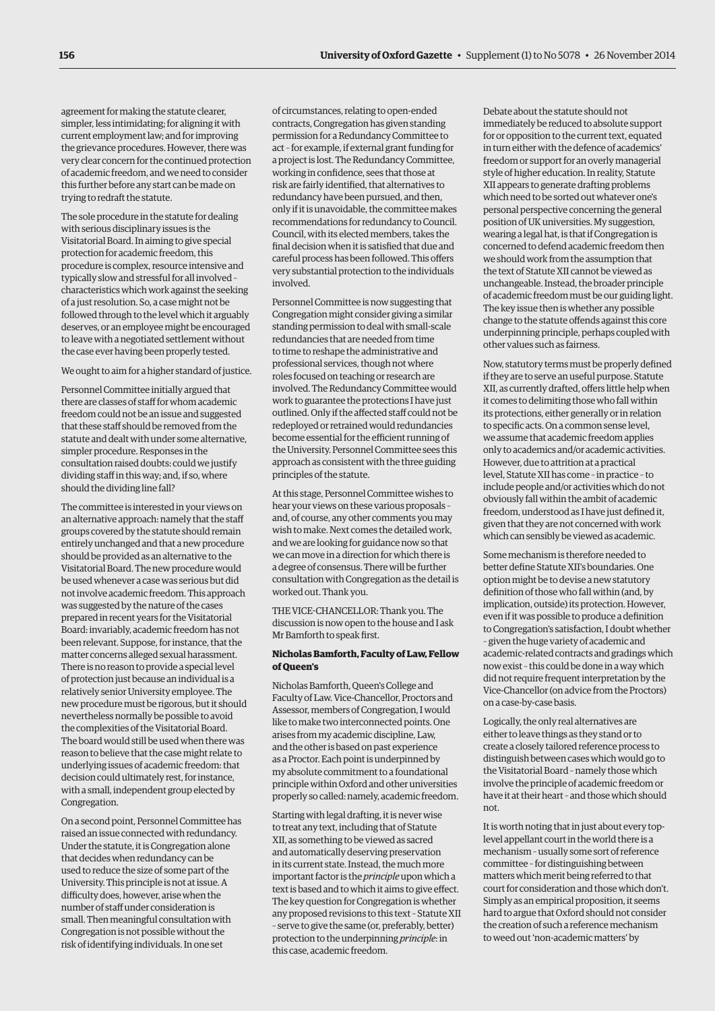agreement for making the statute clearer, simpler, less intimidating; for aligning it with current employment law; and for improving the grievance procedures. However, there was very clear concern for the continued protection of academic freedom, and we need to consider this further before any start can be made on trying to redraft the statute.

The sole procedure in the statute for dealing with serious disciplinary issues is the Visitatorial Board. In aiming to give special protection for academic freedom, this procedure is complex, resource intensive and typically slow and stressful for all involved – characteristics which work against the seeking of a just resolution. So, a case might not be followed through to the level which it arguably deserves, or an employee might be encouraged to leave with a negotiated settlement without the case ever having been properly tested.

#### We ought to aim for a higher standard of justice.

Personnel Committee initially argued that there are classes of staff for whom academic freedom could not be an issue and suggested that these staff should be removed from the statute and dealt with under some alternative, simpler procedure. Responses in the consultation raised doubts: could we justify dividing staff in this way; and, if so, where should the dividing line fall?

The committee is interested in your views on an alternative approach: namely that the staff groups covered by the statute should remain entirely unchanged and that a new procedure should be provided as an alternative to the Visitatorial Board. The new procedure would be used whenever a case was serious but did not involve academic freedom. This approach was suggested by the nature of the cases prepared in recent years for the Visitatorial Board: invariably, academic freedom has not been relevant. Suppose, for instance, that the matter concerns alleged sexual harassment. There is no reason to provide a special level of protection just because an individual is a relatively senior University employee. The new procedure must be rigorous, but it should nevertheless normally be possible to avoid the complexities of the Visitatorial Board. The board would still be used when there was reason to believe that the case might relate to underlying issues of academic freedom: that decision could ultimately rest, for instance, with a small, independent group elected by Congregation.

On a second point, Personnel Committee has raised an issue connected with redundancy. Under the statute, it is Congregation alone that decides when redundancy can be used to reduce the size of some part of the University. This principle is not at issue. A difficulty does, however, arise when the number of staff under consideration is small. Then meaningful consultation with Congregation is not possible without the risk of identifying individuals. In one set

of circumstances, relating to open-ended contracts, Congregation has given standing permission for a Redundancy Committee to act – for example, if external grant funding for a project is lost. The Redundancy Committee, working in confidence, sees that those at risk are fairly identified, that alternatives to redundancy have been pursued, and then, only if it is unavoidable, the committee makes recommendations for redundancy to Council. Council, with its elected members, takes the final decision when it is satisfied that due and careful process has been followed. This offers very substantial protection to the individuals involved.

Personnel Committee is now suggesting that Congregation might consider giving a similar standing permission to deal with small-scale redundancies that are needed from time to time to reshape the administrative and professional services, though not where roles focused on teaching or research are involved. The Redundancy Committee would work to guarantee the protections I have just outlined. Only if the affected staff could not be redeployed or retrained would redundancies become essential for the efficient running of the University. Personnel Committee sees this approach as consistent with the three guiding principles of the statute.

At this stage, Personnel Committee wishes to hear your views on these various proposals – and, of course, any other comments you may wish to make. Next comes the detailed work, and we are looking for guidance now so that we can move in a direction for which there is a degree of consensus. There will be further consultation with Congregation as the detail is worked out. Thank you.

THE VICE-CHANCELLOR: Thank you. The discussion is now open to the house and I ask Mr Bamforth to speak first.

#### **Nicholas Bamforth, Faculty of Law, Fellow of Queen's**

Nicholas Bamforth, Queen's College and Faculty of Law. Vice-Chancellor, Proctors and Assessor, members of Congregation, I would like to make two interconnected points. One arises from my academic discipline, Law, and the other is based on past experience as a Proctor. Each point is underpinned by my absolute commitment to a foundational principle within Oxford and other universities properly so called: namely, academic freedom.

Starting with legal drafting, it is never wise to treat any text, including that of Statute XII, as something to be viewed as sacred and automatically deserving preservation in its current state. Instead, the much more important factor is the *principle* upon which a text is based and to which it aims to give effect. The key question for Congregation is whether any proposed revisions to this text – Statute XII – serve to give the same (or, preferably, better) protection to the underpinning *principle*: in this case, academic freedom.

Debate about the statute should not immediately be reduced to absolute support for or opposition to the current text, equated in turn either with the defence of academics' freedom or support for an overly managerial style of higher education. In reality, Statute XII appears to generate drafting problems which need to be sorted out whatever one's personal perspective concerning the general position of UK universities. My suggestion, wearing a legal hat, is that if Congregation is concerned to defend academic freedom then we should work from the assumption that the text of Statute XII cannot be viewed as unchangeable. Instead, the broader principle of academic freedom must be our guiding light. The key issue then is whether any possible change to the statute offends against this core underpinning principle, perhaps coupled with other values such as fairness.

Now, statutory terms must be properly defined if they are to serve an useful purpose. Statute XII, as currently drafted, offers little help when it comes to delimiting those who fall within its protections, either generally or in relation to specific acts. On a common sense level, we assume that academic freedom applies only to academics and/or academic activities. However, due to attrition at a practical level, Statute XII has come – in practice – to include people and/or activities which do not obviously fall within the ambit of academic freedom, understood as I have just defined it, given that they are not concerned with work which can sensibly be viewed as academic.

Some mechanism is therefore needed to better define Statute XII's boundaries. One option might be to devise a new statutory definition of those who fall within (and, by implication, outside) its protection. However, even if it was possible to produce a definition to Congregation's satisfaction, I doubt whether – given the huge variety of academic and academic-related contracts and gradings which now exist – this could be done in a way which did not require frequent interpretation by the Vice-Chancellor (on advice from the Proctors) on a case-by-case basis.

Logically, the only real alternatives are either to leave things as they stand or to create a closely tailored reference process to distinguish between cases which would go to the Visitatorial Board – namely those which involve the principle of academic freedom or have it at their heart – and those which should not.

It is worth noting that in just about every toplevel appellant court in the world there is a mechanism – usually some sort of reference committee – for distinguishing between matters which merit being referred to that court for consideration and those which don't. Simply as an empirical proposition, it seems hard to argue that Oxford should not consider the creation of such a reference mechanism to weed out 'non-academic matters' by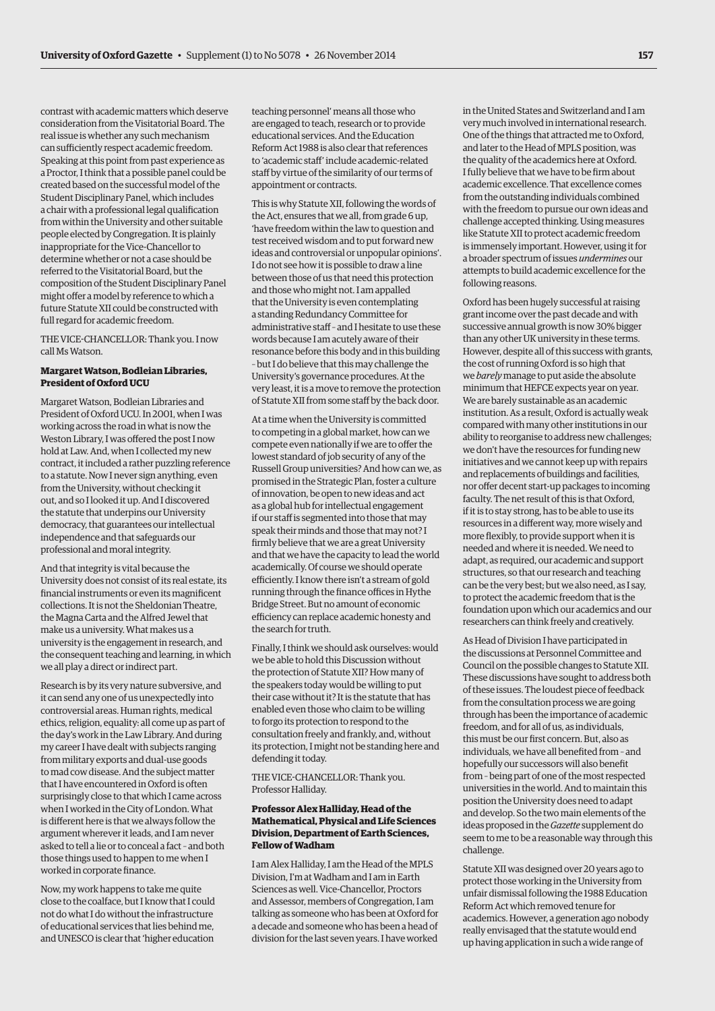contrast with academic matters which deserve consideration from the Visitatorial Board. The real issue is whether any such mechanism can sufficiently respect academic freedom. Speaking at this point from past experience as a Proctor, I think that a possible panel could be created based on the successful model of the Student Disciplinary Panel, which includes a chair with a professional legal qualification from within the University and other suitable people elected by Congregation. It is plainly inappropriate for the Vice-Chancellor to determine whether or not a case should be referred to the Visitatorial Board, but the composition of the Student Disciplinary Panel might offer a model by reference to which a future Statute XII could be constructed with full regard for academic freedom.

THE VICE-CHANCELLOR: Thank you. I now call Ms Watson.

#### **Margaret Watson, Bodleian Libraries, President of Oxford UCU**

Margaret Watson, Bodleian Libraries and President of Oxford UCU. In 2001, when I was working across the road in what is now the Weston Library, I was offered the post I now hold at Law. And, when I collected my new contract, it included a rather puzzling reference to a statute. Now I never sign anything, even from the University, without checking it out, and so I looked it up. And I discovered the statute that underpins our University democracy, that guarantees our intellectual independence and that safeguards our professional and moral integrity.

And that integrity is vital because the University does not consist of its real estate, its financial instruments or even its magnificent collections. It is not the Sheldonian Theatre, the Magna Carta and the Alfred Jewel that make us a university. What makes us a university is the engagement in research, and the consequent teaching and learning, in which we all play a direct or indirect part.

Research is by its very nature subversive, and it can send any one of us unexpectedly into controversial areas. Human rights, medical ethics, religion, equality: all come up as part of the day's work in the Law Library. And during my career I have dealt with subjects ranging from military exports and dual-use goods to mad cow disease. And the subject matter that I have encountered in Oxford is often surprisingly close to that which I came across when I worked in the City of London. What is different here is that we always follow the argument wherever it leads, and I am never asked to tell a lie or to conceal a fact – and both those things used to happen to me when I worked in corporate finance.

Now, my work happens to take me quite close to the coalface, but I know that I could not do what I do without the infrastructure of educational services that lies behind me, and UNESCO is clear that 'higher education

teaching personnel' means all those who are engaged to teach, research or to provide educational services. And the Education Reform Act 1988 is also clear that references to 'academic staff' include academic-related staff by virtue of the similarity of our terms of appointment or contracts.

This is why Statute XII, following the words of the Act, ensures that we all, from grade 6 up, 'have freedom within the law to question and test received wisdom and to put forward new ideas and controversial or unpopular opinions'. I do not see how it is possible to draw a line between those of us that need this protection and those who might not. I am appalled that the University is even contemplating a standing Redundancy Committee for administrative staff – and I hesitate to use these words because I am acutely aware of their resonance before this body and in this building – but I do believe that this may challenge the University's governance procedures. At the very least, it is a move to remove the protection of Statute XII from some staff by the back door.

At a time when the University is committed to competing in a global market, how can we compete even nationally if we are to offer the lowest standard of job security of any of the Russell Group universities? And how can we, as promised in the Strategic Plan, foster a culture of innovation, be open to new ideas and act as a global hub for intellectual engagement if our staff is segmented into those that may speak their minds and those that may not? I firmly believe that we are a great University and that we have the capacity to lead the world academically. Of course we should operate efficiently. I know there isn't a stream of gold running through the finance offices in Hythe Bridge Street. But no amount of economic efficiency can replace academic honesty and the search for truth.

Finally, I think we should ask ourselves: would we be able to hold this Discussion without the protection of Statute XII? How many of the speakers today would be willing to put their case without it? It is the statute that has enabled even those who claim to be willing to forgo its protection to respond to the consultation freely and frankly, and, without its protection, I might not be standing here and defending it today.

THE VICE-CHANCELLOR: Thank you. Professor Halliday.

# **Professor Alex Halliday, Head of the Mathematical, Physical and Life Sciences Division, Department of Earth Sciences, Fellow of Wadham**

I am Alex Halliday, I am the Head of the MPLS Division, I'm at Wadham and I am in Earth Sciences as well. Vice-Chancellor, Proctors and Assessor, members of Congregation, I am talking as someone who has been at Oxford for a decade and someone who has been a head of division for the last seven years. I have worked

in the United States and Switzerland and I am very much involved in international research. One of the things that attracted me to Oxford, and later to the Head of MPLS position, was the quality of the academics here at Oxford. I fully believe that we have to be firm about academic excellence. That excellence comes from the outstanding individuals combined with the freedom to pursue our own ideas and challenge accepted thinking. Using measures like Statute XII to protect academic freedom is immensely important. However, using it for a broader spectrum of issues *undermines* our attempts to build academic excellence for the following reasons.

Oxford has been hugely successful at raising grant income over the past decade and with successive annual growth is now 30% bigger than any other UK university in these terms. However, despite all of this success with grants, the cost of running Oxford is so high that we *barely* manage to put aside the absolute minimum that HEFCE expects year on year. We are barely sustainable as an academic institution. As a result, Oxford is actually weak compared with many other institutions in our ability to reorganise to address new challenges; we don't have the resources for funding new initiatives and we cannot keep up with repairs and replacements of buildings and facilities, nor offer decent start-up packages to incoming faculty. The net result of this is that Oxford, if it is to stay strong, has to be able to use its resources in a different way, more wisely and more flexibly, to provide support when it is needed and where it is needed. We need to adapt, as required, our academic and support structures, so that our research and teaching can be the very best; but we also need, as I say, to protect the academic freedom that is the foundation upon which our academics and our researchers can think freely and creatively.

As Head of Division I have participated in the discussions at Personnel Committee and Council on the possible changes to Statute XII. These discussions have sought to address both of these issues. The loudest piece of feedback from the consultation process we are going through has been the importance of academic freedom, and for all of us, as individuals, this must be our first concern. But, also as individuals, we have all benefited from – and hopefully our successors will also benefit from – being part of one of the most respected universities in the world. And to maintain this position the University does need to adapt and develop. So the two main elements of the ideas proposed in the *Gazette* supplement do seem to me to be a reasonable way through this challenge.

Statute XII was designed over 20 years ago to protect those working in the University from unfair dismissal following the 1988 Education Reform Act which removed tenure for academics. However, a generation ago nobody really envisaged that the statute would end up having application in such a wide range of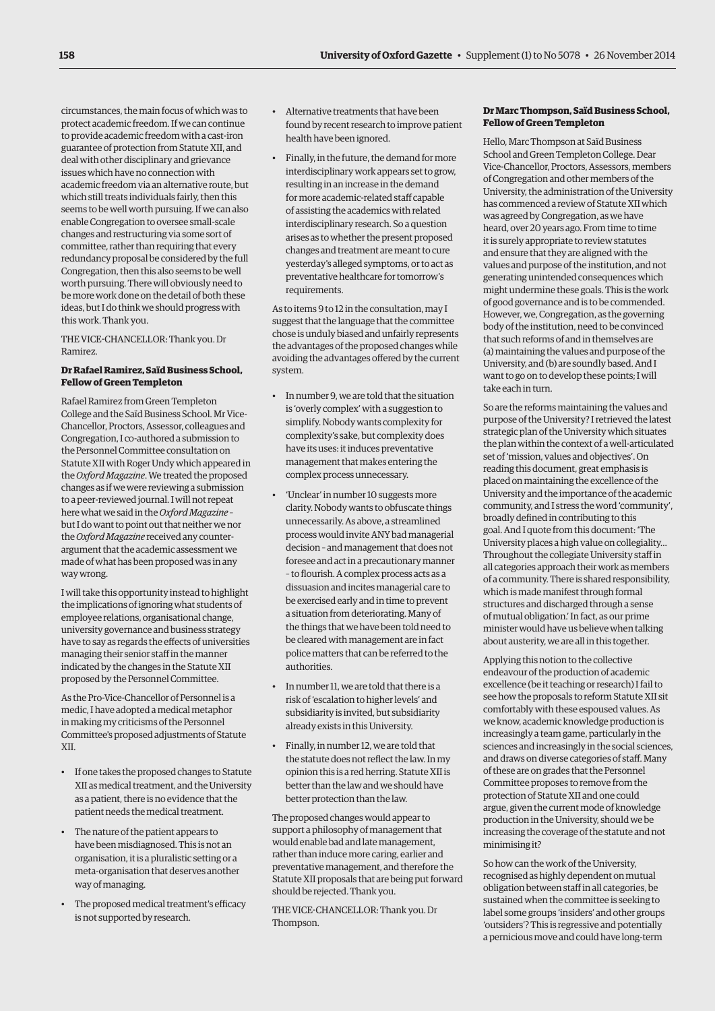circumstances, the main focus of which was to protect academic freedom. If we can continue to provide academic freedom with a cast-iron guarantee of protection from Statute XII, and deal with other disciplinary and grievance issues which have no connection with academic freedom via an alternative route, but which still treats individuals fairly, then this seems to be well worth pursuing. If we can also enable Congregation to oversee small-scale changes and restructuring via some sort of committee, rather than requiring that every redundancy proposal be considered by the full Congregation, then this also seems to be well worth pursuing. There will obviously need to be more work done on the detail of both these ideas, but I do think we should progress with this work. Thank you.

THE VICE-CHANCELLOR: Thank you. Dr Ramirez.

# **Dr Rafael Ramirez, Saïd Business School, Fellow of Green Templeton**

Rafael Ramirez from Green Templeton College and the Saïd Business School. Mr Vice-Chancellor, Proctors, Assessor, colleagues and Congregation, I co-authored a submission to the Personnel Committee consultation on Statute XII with Roger Undy which appeared in the *Oxford Magazine*. We treated the proposed changes as if we were reviewing a submission to a peer-reviewed journal. I will not repeat here what we said in the *Oxford Magazine* – but I do want to point out that neither we nor the *Oxford Magazine* received any counterargument that the academic assessment we made of what has been proposed was in any way wrong.

I will take this opportunity instead to highlight the implications of ignoring what students of employee relations, organisational change, university governance and business strategy have to say as regards the effects of universities managing their senior staff in the manner indicated by the changes in the Statute XII proposed by the Personnel Committee.

As the Pro-Vice-Chancellor of Personnel is a medic, I have adopted a medical metaphor in making my criticisms of the Personnel Committee's proposed adjustments of Statute XII.

- If one takes the proposed changes to Statute XII as medical treatment, and the University as a patient, there is no evidence that the patient needs the medical treatment.
- The nature of the patient appears to have been misdiagnosed. This is not an organisation, it is a pluralistic setting or a meta-organisation that deserves another way of managing.
- The proposed medical treatment's efficacy is not supported by research.
- Alternative treatments that have been found by recent research to improve patient health have been ignored.
- Finally, in the future, the demand for more interdisciplinary work appears set to grow, resulting in an increase in the demand for more academic-related staff capable of assisting the academics with related interdisciplinary research. So a question arises as to whether the present proposed changes and treatment are meant to cure yesterday's alleged symptoms, or to act as preventative healthcare for tomorrow's requirements.

As to items 9 to 12 in the consultation, may I suggest that the language that the committee chose is unduly biased and unfairly represents the advantages of the proposed changes while avoiding the advantages offered by the current system.

- In number 9, we are told that the situation is 'overly complex' with a suggestion to simplify. Nobody wants complexity for complexity's sake, but complexity does have its uses: it induces preventative management that makes entering the complex process unnecessary.
- 'Unclear' in number 10 suggests more clarity. Nobody wants to obfuscate things unnecessarily. As above, a streamlined process would invite ANY bad managerial decision – and management that does not foresee and act in a precautionary manner – to flourish. A complex process acts as a dissuasion and incites managerial care to be exercised early and in time to prevent a situation from deteriorating. Many of the things that we have been told need to be cleared with management are in fact police matters that can be referred to the authorities.
- In number 11, we are told that there is a risk of 'escalation to higher levels' and subsidiarity is invited, but subsidiarity already exists in this University.
- Finally, in number 12, we are told that the statute does not reflect the law. In my opinion this is a red herring. Statute XII is better than the law and we should have better protection than the law.

The proposed changes would appear to support a philosophy of management that would enable bad and late management, rather than induce more caring, earlier and preventative management, and therefore the Statute XII proposals that are being put forward should be rejected. Thank you.

THE VICE-CHANCELLOR: Thank you. Dr Thompson.

# **Dr Marc Thompson, Saïd Business School, Fellow of Green Templeton**

Hello, Marc Thompson at Saïd Business School and Green Templeton College. Dear Vice-Chancellor, Proctors, Assessors, members of Congregation and other members of the University, the administration of the University has commenced a review of Statute XII which was agreed by Congregation, as we have heard, over 20 years ago. From time to time it is surely appropriate to review statutes and ensure that they are aligned with the values and purpose of the institution, and not generating unintended consequences which might undermine these goals. This is the work of good governance and is to be commended. However, we, Congregation, as the governing body of the institution, need to be convinced that such reforms of and in themselves are (a) maintaining the values and purpose of the University, and (b) are soundly based. And I want to go on to develop these points; I will take each in turn.

So are the reforms maintaining the values and purpose of the University? I retrieved the latest strategic plan of the University which situates the plan within the context of a well-articulated set of 'mission, values and objectives'. On reading this document, great emphasis is placed on maintaining the excellence of the University and the importance of the academic community, and I stress the word 'community', broadly defined in contributing to this goal. And I quote from this document: 'The University places a high value on collegiality… Throughout the collegiate University staff in all categories approach their work as members of a community. There is shared responsibility, which is made manifest through formal structures and discharged through a sense of mutual obligation.' In fact, as our prime minister would have us believe when talking about austerity, we are all in this together.

Applying this notion to the collective endeavour of the production of academic excellence (be it teaching or research) I fail to see how the proposals to reform Statute XII sit comfortably with these espoused values. As we know, academic knowledge production is increasingly a team game, particularly in the sciences and increasingly in the social sciences, and draws on diverse categories of staff. Many of these are on grades that the Personnel Committee proposes to remove from the protection of Statute XII and one could argue, given the current mode of knowledge production in the University, should we be increasing the coverage of the statute and not minimising it?

So how can the work of the University, recognised as highly dependent on mutual obligation between staff in all categories, be sustained when the committee is seeking to label some groups 'insiders' and other groups 'outsiders'? This is regressive and potentially a pernicious move and could have long-term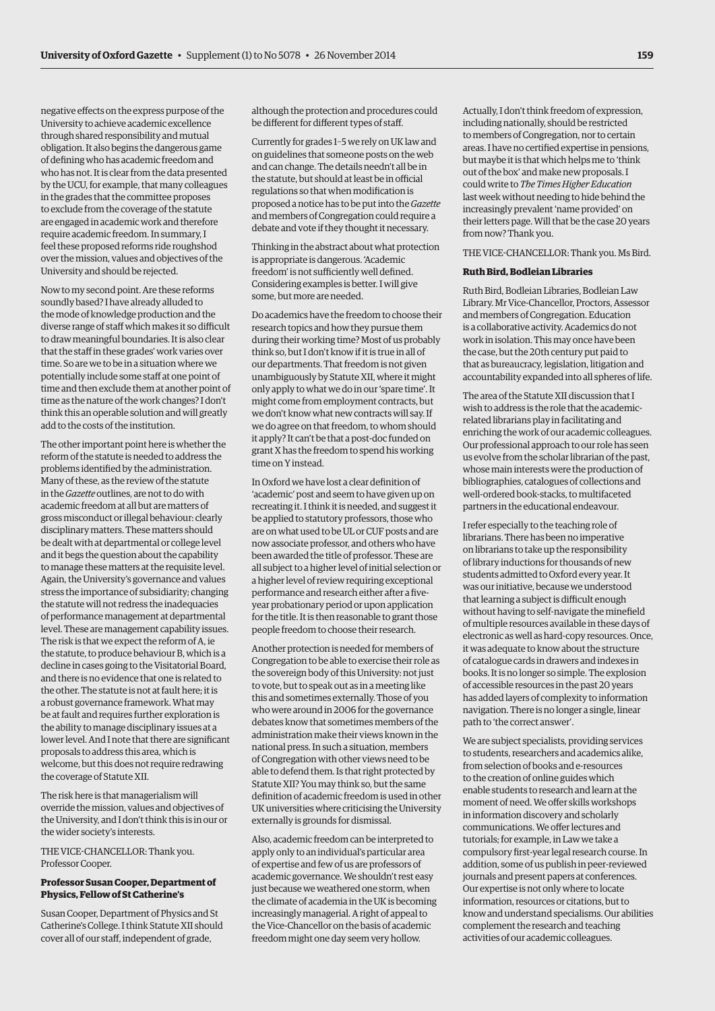negative effects on the express purpose of the University to achieve academic excellence through shared responsibility and mutual obligation. It also begins the dangerous game of defining who has academic freedom and who has not. It is clear from the data presented by the UCU, for example, that many colleagues in the grades that the committee proposes to exclude from the coverage of the statute are engaged in academic work and therefore require academic freedom. In summary, I feel these proposed reforms ride roughshod over the mission, values and objectives of the University and should be rejected.

Now to my second point. Are these reforms soundly based? I have already alluded to the mode of knowledge production and the diverse range of staff which makes it so difficult to draw meaningful boundaries. It is also clear that the staff in these grades' work varies over time. So are we to be in a situation where we potentially include some staff at one point of time and then exclude them at another point of time as the nature of the work changes? I don't think this an operable solution and will greatly add to the costs of the institution.

The other important point here is whether the reform of the statute is needed to address the problems identified by the administration. Many of these, as the review of the statute in the *Gazette* outlines, are not to do with academic freedom at all but are matters of gross misconduct or illegal behaviour: clearly disciplinary matters. These matters should be dealt with at departmental or college level and it begs the question about the capability to manage these matters at the requisite level. Again, the University's governance and values stress the importance of subsidiarity; changing the statute will not redress the inadequacies of performance management at departmental level. These are management capability issues. The risk is that we expect the reform of A, ie the statute, to produce behaviour B, which is a decline in cases going to the Visitatorial Board, and there is no evidence that one is related to the other. The statute is not at fault here; it is a robust governance framework. What may be at fault and requires further exploration is the ability to manage disciplinary issues at a lower level. And I note that there are significant proposals to address this area, which is welcome, but this does not require redrawing the coverage of Statute XII.

The risk here is that managerialism will override the mission, values and objectives of the University, and I don't think this is in our or the wider society's interests.

THE VICE-CHANCELLOR: Thank you. Professor Cooper.

# **Professor Susan Cooper, Department of Physics, Fellow of St Catherine's**

Susan Cooper, Department of Physics and St Catherine's College. I think Statute XII should cover all of our staff, independent of grade,

although the protection and procedures could be different for different types of staff.

Currently for grades 1–5 we rely on UK law and on guidelines that someone posts on the web and can change. The details needn't all be in the statute, but should at least be in official regulations so that when modification is proposed a notice has to be put into the *Gazette* and members of Congregation could require a debate and vote if they thought it necessary.

Thinking in the abstract about what protection is appropriate is dangerous. 'Academic freedom' is not sufficiently well defined. Considering examples is better. I will give some, but more are needed.

Do academics have the freedom to choose their research topics and how they pursue them during their working time? Most of us probably think so, but I don't know if it is true in all of our departments. That freedom is not given unambiguously by Statute XII, where it might only apply to what we do in our 'spare time'. It might come from employment contracts, but we don't know what new contracts will say. If we do agree on that freedom, to whom should it apply? It can't be that a post-doc funded on grant X has the freedom to spend his working time on Y instead.

In Oxford we have lost a clear definition of 'academic' post and seem to have given up on recreating it. I think it is needed, and suggest it be applied to statutory professors, those who are on what used to be UL or CUF posts and are now associate professor, and others who have been awarded the title of professor. These are all subject to a higher level of initial selection or a higher level of review requiring exceptional performance and research either after a fiveyear probationary period or upon application for the title. It is then reasonable to grant those people freedom to choose their research.

Another protection is needed for members of Congregation to be able to exercise their role as the sovereign body of this University: not just to vote, but to speak out as in a meeting like this and sometimes externally. Those of you who were around in 2006 for the governance debates know that sometimes members of the administration make their views known in the national press. In such a situation, members of Congregation with other views need to be able to defend them. Is that right protected by Statute XII? You may think so, but the same definition of academic freedom is used in other UK universities where criticising the University externally is grounds for dismissal.

Also, academic freedom can be interpreted to apply only to an individual's particular area of expertise and few of us are professors of academic governance. We shouldn't rest easy just because we weathered one storm, when the climate of academia in the UK is becoming increasingly managerial. A right of appeal to the Vice-Chancellor on the basis of academic freedom might one day seem very hollow.

Actually, I don't think freedom of expression, including nationally, should be restricted to members of Congregation, nor to certain areas. I have no certified expertise in pensions, but maybe it is that which helps me to 'think out of the box' and make new proposals. I could write to *The Times Higher Education* last week without needing to hide behind the increasingly prevalent 'name provided' on their letters page. Will that be the case 20 years from now? Thank you.

THE VICE-CHANCELLOR: Thank you. Ms Bird.

#### **Ruth Bird, Bodleian Libraries**

Ruth Bird, Bodleian Libraries, Bodleian Law Library. Mr Vice-Chancellor, Proctors, Assessor and members of Congregation. Education is a collaborative activity. Academics do not work in isolation. This may once have been the case, but the 20th century put paid to that as bureaucracy, legislation, litigation and accountability expanded into all spheres of life.

The area of the Statute XII discussion that I wish to address is the role that the academicrelated librarians play in facilitating and enriching the work of our academic colleagues. Our professional approach to our role has seen us evolve from the scholar librarian of the past, whose main interests were the production of bibliographies, catalogues of collections and well-ordered book-stacks, to multifaceted partners in the educational endeavour.

I refer especially to the teaching role of librarians. There has been no imperative on librarians to take up the responsibility of library inductions for thousands of new students admitted to Oxford every year. It was our initiative, because we understood that learning a subject is difficult enough without having to self-navigate the minefield of multiple resources available in these days of electronic as well as hard-copy resources. Once, it was adequate to know about the structure of catalogue cards in drawers and indexes in books. It is no longer so simple. The explosion of accessible resources in the past 20 years has added layers of complexity to information navigation. There is no longer a single, linear path to 'the correct answer'.

We are subject specialists, providing services to students, researchers and academics alike, from selection of books and e-resources to the creation of online guides which enable students to research and learn at the moment of need. We offer skills workshops in information discovery and scholarly communications. We offer lectures and tutorials; for example, in Law we take a compulsory first-year legal research course. In addition, some of us publish in peer-reviewed journals and present papers at conferences. Our expertise is not only where to locate information, resources or citations, but to know and understand specialisms. Our abilities complement the research and teaching activities of our academic colleagues.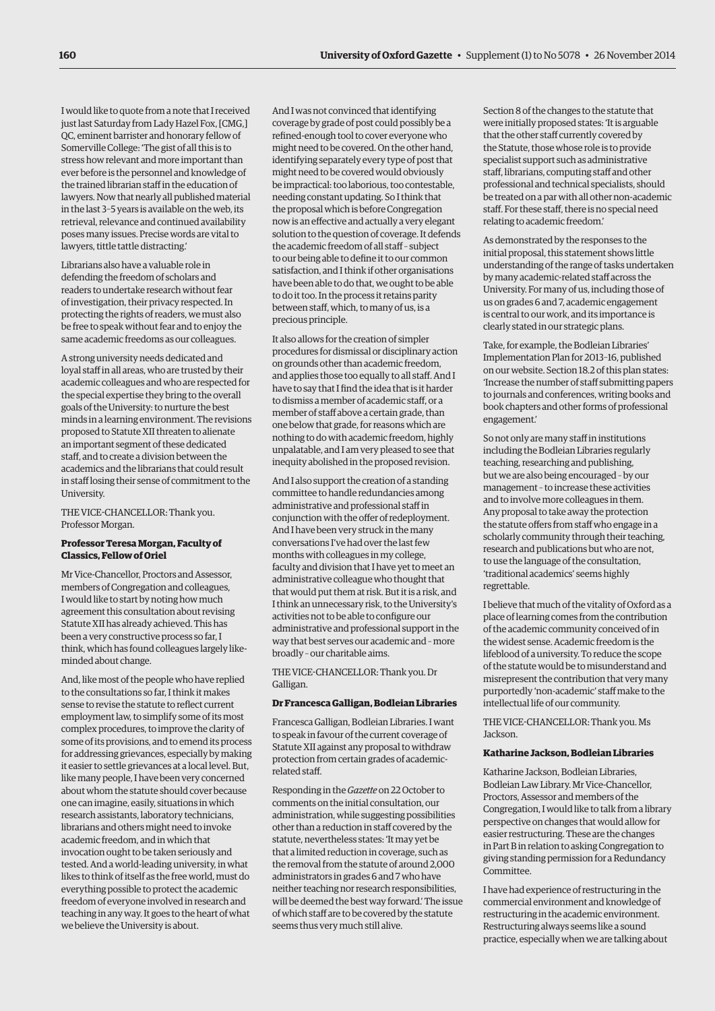I would like to quote from a note that I received just last Saturday from Lady Hazel Fox, [CMG,] QC, eminent barrister and honorary fellow of Somerville College: 'The gist of all this is to stress how relevant and more important than ever before is the personnel and knowledge of the trained librarian staff in the education of lawyers. Now that nearly all published material in the last 3–5 years is available on the web, its retrieval, relevance and continued availability poses many issues. Precise words are vital to lawyers, tittle tattle distracting.'

Librarians also have a valuable role in defending the freedom of scholars and readers to undertake research without fear of investigation, their privacy respected. In protecting the rights of readers, we must also be free to speak without fear and to enjoy the same academic freedoms as our colleagues.

A strong university needs dedicated and loyal staff in all areas, who are trusted by their academic colleagues and who are respected for the special expertise they bring to the overall goals of the University: to nurture the best minds in a learning environment. The revisions proposed to Statute XII threaten to alienate an important segment of these dedicated staff, and to create a division between the academics and the librarians that could result in staff losing their sense of commitment to the University.

THE VICE-CHANCELLOR: Thank you. Professor Morgan.

#### **Professor Teresa Morgan, Faculty of Classics, Fellow of Oriel**

Mr Vice-Chancellor, Proctors and Assessor, members of Congregation and colleagues, I would like to start by noting how much agreement this consultation about revising Statute XII has already achieved. This has been a very constructive process so far, I think, which has found colleagues largely likeminded about change.

And, like most of the people who have replied to the consultations so far, I think it makes sense to revise the statute to reflect current employment law, to simplify some of its most complex procedures, to improve the clarity of some of its provisions, and to emend its process for addressing grievances, especially by making it easier to settle grievances at a local level. But, like many people, I have been very concerned about whom the statute should cover because one can imagine, easily, situations in which research assistants, laboratory technicians, librarians and others might need to invoke academic freedom, and in which that invocation ought to be taken seriously and tested. And a world-leading university, in what likes to think of itself as the free world, must do everything possible to protect the academic freedom of everyone involved in research and teaching in any way. It goes to the heart of what we believe the University is about.

And I was not convinced that identifying coverage by grade of post could possibly be a refined-enough tool to cover everyone who might need to be covered. On the other hand, identifying separately every type of post that might need to be covered would obviously be impractical: too laborious, too contestable, needing constant updating. So I think that the proposal which is before Congregation now is an effective and actually a very elegant solution to the question of coverage. It defends the academic freedom of all staff – subject to our being able to define it to our common satisfaction, and I think if other organisations have been able to do that, we ought to be able to do it too. In the process it retains parity between staff, which, to many of us, is a precious principle.

It also allows for the creation of simpler procedures for dismissal or disciplinary action on grounds other than academic freedom, and applies those too equally to all staff. And I have to say that I find the idea that is it harder to dismiss a member of academic staff, or a member of staff above a certain grade, than one below that grade, for reasons which are nothing to do with academic freedom, highly unpalatable, and I am very pleased to see that inequity abolished in the proposed revision.

And I also support the creation of a standing committee to handle redundancies among administrative and professional staff in conjunction with the offer of redeployment. And I have been very struck in the many conversations I've had over the last few months with colleagues in my college, faculty and division that I have yet to meet an administrative colleague who thought that that would put them at risk. But it is a risk, and I think an unnecessary risk, to the University's activities not to be able to configure our administrative and professional support in the way that best serves our academic and – more broadly – our charitable aims.

THE VICE-CHANCELLOR: Thank you. Dr Galligan.

#### **Dr Francesca Galligan, Bodleian Libraries**

Francesca Galligan, Bodleian Libraries. I want to speak in favour of the current coverage of Statute XII against any proposal to withdraw protection from certain grades of academicrelated staff.

Responding in the *Gazette* on 22 October to comments on the initial consultation, our administration, while suggesting possibilities other than a reduction in staff covered by the statute, nevertheless states: 'It may yet be that a limited reduction in coverage, such as the removal from the statute of around 2,000 administrators in grades 6 and 7 who have neither teaching nor research responsibilities, will be deemed the best way forward.' The issue of which staff are to be covered by the statute seems thus very much still alive.

Section 8 of the changes to the statute that were initially proposed states: 'It is arguable that the other staff currently covered by the Statute, those whose role is to provide specialist support such as administrative staff, librarians, computing staff and other professional and technical specialists, should be treated on a par with all other non-academic staff. For these staff, there is no special need relating to academic freedom.'

As demonstrated by the responses to the initial proposal, this statement shows little understanding of the range of tasks undertaken by many academic-related staff across the University. For many of us, including those of us on grades 6 and 7, academic engagement is central to our work, and its importance is clearly stated in our strategic plans.

Take, for example, the Bodleian Libraries' Implementation Plan for 2013–16, published on our website. Section 18.2 of this plan states: 'Increase the number of staff submitting papers to journals and conferences, writing books and book chapters and other forms of professional engagement.'

So not only are many staff in institutions including the Bodleian Libraries regularly teaching, researching and publishing, but we are also being encouraged – by our management – to increase these activities and to involve more colleagues in them. Any proposal to take away the protection the statute offers from staff who engage in a scholarly community through their teaching, research and publications but who are not, to use the language of the consultation, 'traditional academics' seems highly regrettable.

I believe that much of the vitality of Oxford as a place of learning comes from the contribution of the academic community conceived of in the widest sense. Academic freedom is the lifeblood of a university. To reduce the scope of the statute would be to misunderstand and misrepresent the contribution that very many purportedly 'non-academic' staff make to the intellectual life of our community.

THE VICE-CHANCELLOR: Thank you. Ms Jackson.

#### **Katharine Jackson, Bodleian Libraries**

Katharine Jackson, Bodleian Libraries, Bodleian Law Library. Mr Vice-Chancellor, Proctors, Assessor and members of the Congregation, I would like to talk from a library perspective on changes that would allow for easier restructuring. These are the changes in Part B in relation to asking Congregation to giving standing permission for a Redundancy Committee.

I have had experience of restructuring in the commercial environment and knowledge of restructuring in the academic environment. Restructuring always seems like a sound practice, especially when we are talking about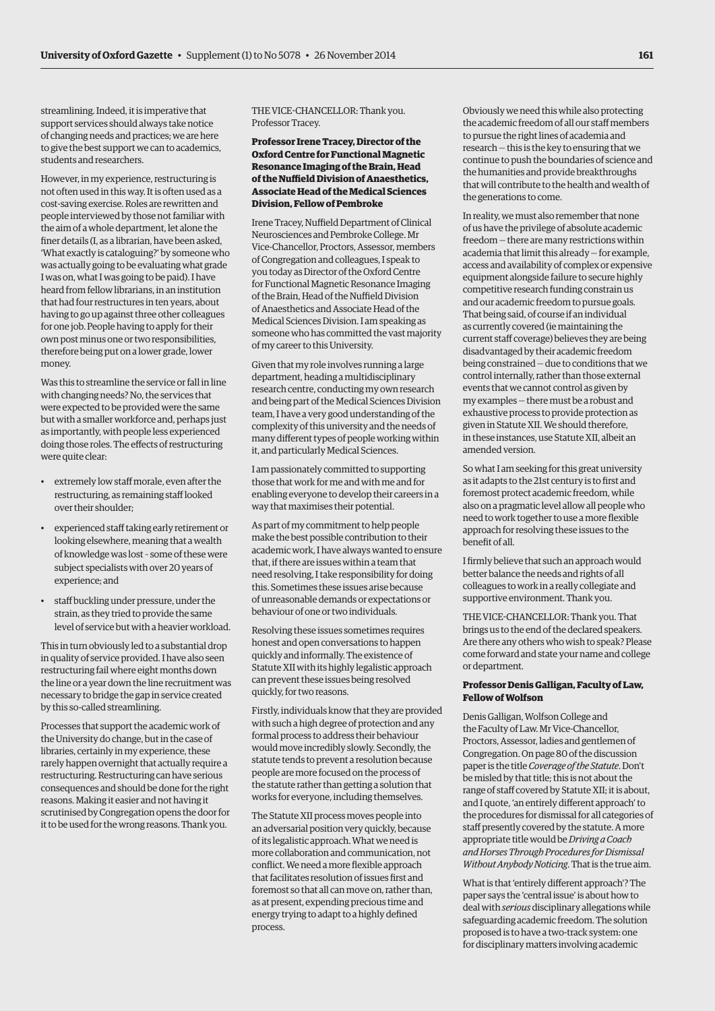streamlining. Indeed, it is imperative that support services should always take notice of changing needs and practices; we are here to give the best support we can to academics, students and researchers.

However, in my experience, restructuring is not often used in this way. It is often used as a cost-saving exercise. Roles are rewritten and people interviewed by those not familiar with the aim of a whole department, let alone the finer details (I, as a librarian, have been asked, 'What exactly is cataloguing?' by someone who was actually going to be evaluating what grade I was on, what I was going to be paid). I have heard from fellow librarians, in an institution that had four restructures in ten years, about having to go up against three other colleagues for one job. People having to apply for their own post minus one or two responsibilities, therefore being put on a lower grade, lower money.

Was this to streamline the service or fall in line with changing needs? No, the services that were expected to be provided were the same but with a smaller workforce and, perhaps just as importantly, with people less experienced doing those roles. The effects of restructuring were quite clear:

- extremely low staff morale, even after the restructuring, as remaining staff looked over their shoulder;
- experienced staff taking early retirement or looking elsewhere, meaning that a wealth of knowledge was lost – some of these were subject specialists with over 20 years of experience; and
- staff buckling under pressure, under the strain, as they tried to provide the same level of service but with a heavier workload.

This in turn obviously led to a substantial drop in quality of service provided. I have also seen restructuring fail where eight months down the line or a year down the line recruitment was necessary to bridge the gap in service created by this so-called streamlining.

Processes that support the academic work of the University do change, but in the case of libraries, certainly in my experience, these rarely happen overnight that actually require a restructuring. Restructuring can have serious consequences and should be done for the right reasons. Making it easier and not having it scrutinised by Congregation opens the door for it to be used for the wrong reasons. Thank you.

# THE VICE-CHANCELLOR: Thank you. Professor Tracey.

#### **Professor Irene Tracey, Director of the Oxford Centre for Functional Magnetic Resonance Imaging of the Brain, Head of the Nuffield Division of Anaesthetics, Associate Head of the Medical Sciences Division, Fellow of Pembroke**

Irene Tracey, Nuffield Department of Clinical Neurosciences and Pembroke College. Mr Vice-Chancellor, Proctors, Assessor, members of Congregation and colleagues, I speak to you today as Director of the Oxford Centre for Functional Magnetic Resonance Imaging of the Brain, Head of the Nuffield Division of Anaesthetics and Associate Head of the Medical Sciences Division. I am speaking as someone who has committed the vast majority of my career to this University.

Given that my role involves running a large department, heading a multidisciplinary research centre, conducting my own research and being part of the Medical Sciences Division team, I have a very good understanding of the complexity of this university and the needs of many different types of people working within it, and particularly Medical Sciences.

I am passionately committed to supporting those that work for me and with me and for enabling everyone to develop their careers in a way that maximises their potential.

As part of my commitment to help people make the best possible contribution to their academic work, I have always wanted to ensure that, if there are issues within a team that need resolving, I take responsibility for doing this. Sometimes these issues arise because of unreasonable demands or expectations or behaviour of one or two individuals.

Resolving these issues sometimes requires honest and open conversations to happen quickly and informally. The existence of Statute XII with its highly legalistic approach can prevent these issues being resolved quickly, for two reasons.

Firstly, individuals know that they are provided with such a high degree of protection and any formal process to address their behaviour would move incredibly slowly. Secondly, the statute tends to prevent a resolution because people are more focused on the process of the statute rather than getting a solution that works for everyone, including themselves.

The Statute XII process moves people into an adversarial position very quickly, because of its legalistic approach. What we need is more collaboration and communication, not conflict. We need a more flexible approach that facilitates resolution of issues first and foremost so that all can move on, rather than, as at present, expending precious time and energy trying to adapt to a highly defined process.

Obviously we need this while also protecting the academic freedom of all our staff members to pursue the right lines of academia and research — this is the key to ensuring that we continue to push the boundaries of science and the humanities and provide breakthroughs that will contribute to the health and wealth of the generations to come.

In reality, we must also remember that none of us have the privilege of absolute academic freedom — there are many restrictions within academia that limit this already — for example, access and availability of complex or expensive equipment alongside failure to secure highly competitive research funding constrain us and our academic freedom to pursue goals. That being said, of course if an individual as currently covered (ie maintaining the current staff coverage) believes they are being disadvantaged by their academic freedom being constrained — due to conditions that we control internally, rather than those external events that we cannot control as given by my examples — there must be a robust and exhaustive process to provide protection as given in Statute XII. We should therefore, in these instances, use Statute XII, albeit an amended version.

So what I am seeking for this great university as it adapts to the 21st century is to first and foremost protect academic freedom, while also on a pragmatic level allow all people who need to work together to use a more flexible approach for resolving these issues to the benefit of all.

I firmly believe that such an approach would better balance the needs and rights of all colleagues to work in a really collegiate and supportive environment. Thank you.

THE VICE-CHANCELLOR: Thank you. That brings us to the end of the declared speakers. Are there any others who wish to speak? Please come forward and state your name and college or department.

### **Professor Denis Galligan, Faculty of Law, Fellow of Wolfson**

Denis Galligan, Wolfson College and the Faculty of Law. Mr Vice-Chancellor, Proctors, Assessor, ladies and gentlemen of Congregation. On page 80 of the discussion paper is the title *Coverage of the Statute*. Don't be misled by that title; this is not about the range of staff covered by Statute XII; it is about, and I quote, 'an entirely different approach' to the procedures for dismissal for all categories of staff presently covered by the statute. A more appropriate title would be *Driving a Coach and Horses Through Procedures for Dismissal Without Anybody Noticing*. That is the true aim.

What is that 'entirely different approach'? The paper says the 'central issue' is about how to deal with *serious* disciplinary allegations while safeguarding academic freedom. The solution proposed is to have a two-track system: one for disciplinary matters involving academic